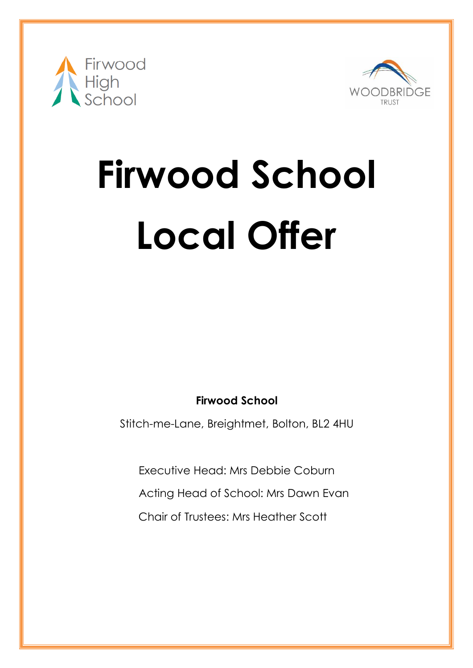



# **Firwood School Local Offer**

**Firwood School** 

Stitch-me-Lane, Breightmet, Bolton, BL2 4HU

Executive Head: Mrs Debbie Coburn

Acting Head of School: Mrs Dawn Evan

Chair of Trustees: Mrs Heather Scott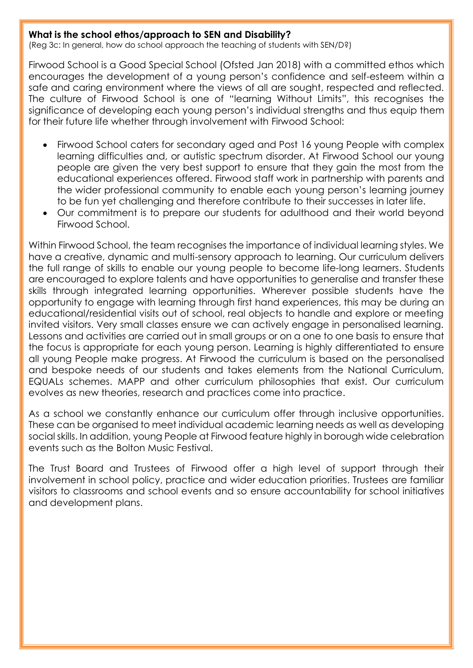#### **What is the school ethos/approach to SEN and Disability?**

(Reg 3c: In general, how do school approach the teaching of students with SEN/D?)

Firwood School is a Good Special School (Ofsted Jan 2018) with a committed ethos which encourages the development of a young person's confidence and self-esteem within a safe and caring environment where the views of all are sought, respected and reflected. The culture of Firwood School is one of "learning Without Limits", this recognises the significance of developing each young person's individual strengths and thus equip them for their future life whether through involvement with Firwood School:

- Firwood School caters for secondary aged and Post 16 young People with complex learning difficulties and, or autistic spectrum disorder. At Firwood School our young people are given the very best support to ensure that they gain the most from the educational experiences offered. Firwood staff work in partnership with parents and the wider professional community to enable each young person's learning journey to be fun yet challenging and therefore contribute to their successes in later life.
- Our commitment is to prepare our students for adulthood and their world beyond Firwood School.

Within Firwood School, the team recognises the importance of individual learning styles. We have a creative, dynamic and multi-sensory approach to learning. Our curriculum delivers the full range of skills to enable our young people to become life-long learners. Students are encouraged to explore talents and have opportunities to generalise and transfer these skills through integrated learning opportunities. Wherever possible students have the opportunity to engage with learning through first hand experiences, this may be during an educational/residential visits out of school, real objects to handle and explore or meeting invited visitors. Very small classes ensure we can actively engage in personalised learning. Lessons and activities are carried out in small groups or on a one to one basis to ensure that the focus is appropriate for each young person. Learning is highly differentiated to ensure all young People make progress. At Firwood the curriculum is based on the personalised and bespoke needs of our students and takes elements from the National Curriculum, EQUALs schemes. MAPP and other curriculum philosophies that exist. Our curriculum evolves as new theories, research and practices come into practice.

As a school we constantly enhance our curriculum offer through inclusive opportunities. These can be organised to meet individual academic learning needs as well as developing social skills. In addition, young People at Firwood feature highly in borough wide celebration events such as the Bolton Music Festival.

The Trust Board and Trustees of Firwood offer a high level of support through their involvement in school policy, practice and wider education priorities. Trustees are familiar visitors to classrooms and school events and so ensure accountability for school initiatives and development plans.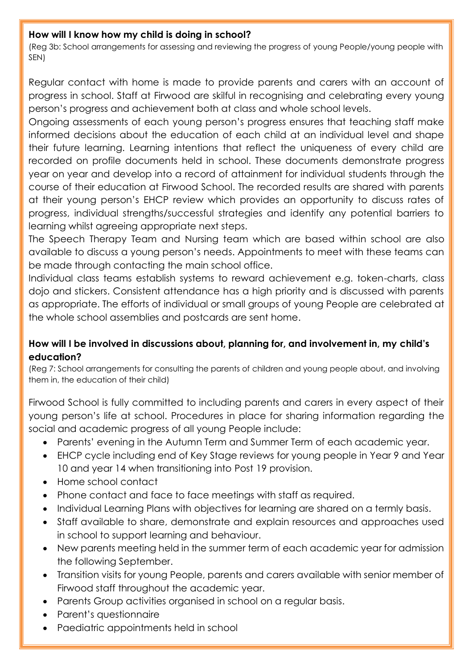# **How will I know how my child is doing in school?**

(Reg 3b: School arrangements for assessing and reviewing the progress of young People/young people with SEN)

Regular contact with home is made to provide parents and carers with an account of progress in school. Staff at Firwood are skilful in recognising and celebrating every young person's progress and achievement both at class and whole school levels.

Ongoing assessments of each young person's progress ensures that teaching staff make informed decisions about the education of each child at an individual level and shape their future learning. Learning intentions that reflect the uniqueness of every child are recorded on profile documents held in school. These documents demonstrate progress year on year and develop into a record of attainment for individual students through the course of their education at Firwood School. The recorded results are shared with parents at their young person's EHCP review which provides an opportunity to discuss rates of progress, individual strengths/successful strategies and identify any potential barriers to learning whilst agreeing appropriate next steps.

The Speech Therapy Team and Nursing team which are based within school are also available to discuss a young person's needs. Appointments to meet with these teams can be made through contacting the main school office.

Individual class teams establish systems to reward achievement e.g. token-charts, class dojo and stickers. Consistent attendance has a high priority and is discussed with parents as appropriate. The efforts of individual or small groups of young People are celebrated at the whole school assemblies and postcards are sent home.

# **How will I be involved in discussions about, planning for, and involvement in, my child's education?**

(Reg 7: School arrangements for consulting the parents of children and young people about, and involving them in, the education of their child)

Firwood School is fully committed to including parents and carers in every aspect of their young person's life at school. Procedures in place for sharing information regarding the social and academic progress of all young People include:

- Parents' evening in the Autumn Term and Summer Term of each academic year.
- EHCP cycle including end of Key Stage reviews for young people in Year 9 and Year 10 and year 14 when transitioning into Post 19 provision.
- Home school contact
- Phone contact and face to face meetings with staff as required.
- Individual Learning Plans with objectives for learning are shared on a termly basis.
- Staff available to share, demonstrate and explain resources and approaches used in school to support learning and behaviour.
- New parents meeting held in the summer term of each academic year for admission the following September.
- Transition visits for young People, parents and carers available with senior member of Firwood staff throughout the academic year.
- Parents Group activities organised in school on a regular basis.
- Parent's questionnaire
- Paediatric appointments held in school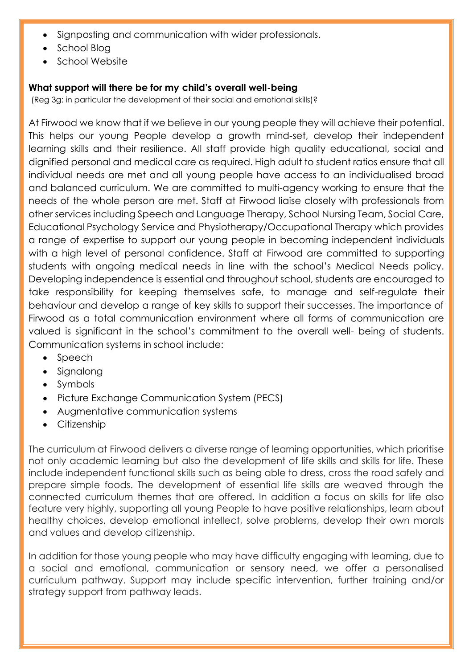- Signposting and communication with wider professionals.
- School Blog
- School Website

#### **What support will there be for my child's overall well-being**

(Reg 3g: in particular the development of their social and emotional skills)?

At Firwood we know that if we believe in our young people they will achieve their potential. This helps our young People develop a growth mind-set, develop their independent learning skills and their resilience. All staff provide high quality educational, social and dignified personal and medical care as required. High adult to student ratios ensure that all individual needs are met and all young people have access to an individualised broad and balanced curriculum. We are committed to multi-agency working to ensure that the needs of the whole person are met. Staff at Firwood liaise closely with professionals from other services including Speech and Language Therapy, School Nursing Team, Social Care, Educational Psychology Service and Physiotherapy/Occupational Therapy which provides a range of expertise to support our young people in becoming independent individuals with a high level of personal confidence. Staff at Firwood are committed to supporting students with ongoing medical needs in line with the school's Medical Needs policy. Developing independence is essential and throughout school, students are encouraged to take responsibility for keeping themselves safe, to manage and self-regulate their behaviour and develop a range of key skills to support their successes. The importance of Firwood as a total communication environment where all forms of communication are valued is significant in the school's commitment to the overall well- being of students. Communication systems in school include:

- Speech
- Signalong
- Symbols
- Picture Exchange Communication System (PECS)
- Augmentative communication systems
- Citizenship

The curriculum at Firwood delivers a diverse range of learning opportunities, which prioritise not only academic learning but also the development of life skills and skills for life. These include independent functional skills such as being able to dress, cross the road safely and prepare simple foods. The development of essential life skills are weaved through the connected curriculum themes that are offered. In addition a focus on skills for life also feature very highly, supporting all young People to have positive relationships, learn about healthy choices, develop emotional intellect, solve problems, develop their own morals and values and develop citizenship.

In addition for those young people who may have difficulty engaging with learning, due to a social and emotional, communication or sensory need, we offer a personalised curriculum pathway. Support may include specific intervention, further training and/or strategy support from pathway leads.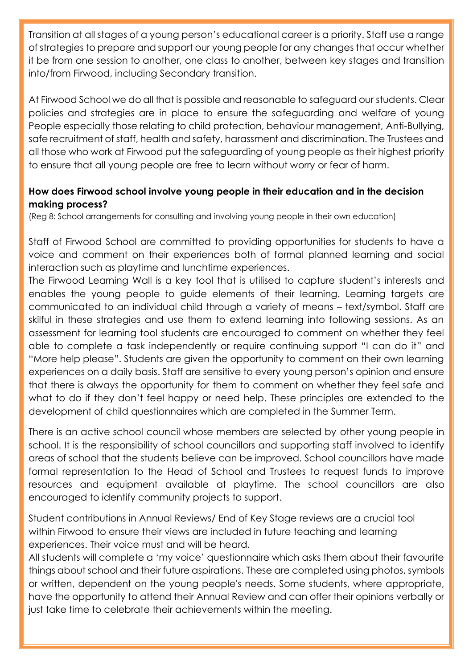Transition at all stages of a young person's educational career is a priority. Staff use a range of strategies to prepare and support our young people for any changes that occur whether it be from one session to another, one class to another, between key stages and transition into/from Firwood, including Secondary transition.

At Firwood School we do all that is possible and reasonable to safeguard our students. Clear policies and strategies are in place to ensure the safeguarding and welfare of young People especially those relating to child protection, behaviour management, Anti-Bullying, safe recruitment of staff, health and safety, harassment and discrimination. The Trustees and all those who work at Firwood put the safeguarding of young people as their highest priority to ensure that all young people are free to learn without worry or fear of harm.

# **How does Firwood school involve young people in their education and in the decision making process?**

(Reg 8: School arrangements for consulting and involving young people in their own education)

Staff of Firwood School are committed to providing opportunities for students to have a voice and comment on their experiences both of formal planned learning and social interaction such as playtime and lunchtime experiences.

The Firwood Learning Wall is a key tool that is utilised to capture student's interests and enables the young people to guide elements of their learning. Learning targets are communicated to an individual child through a variety of means – text/symbol. Staff are skilful in these strategies and use them to extend learning into following sessions. As an assessment for learning tool students are encouraged to comment on whether they feel able to complete a task independently or require continuing support "I can do it" and "More help please". Students are given the opportunity to comment on their own learning experiences on a daily basis. Staff are sensitive to every young person's opinion and ensure that there is always the opportunity for them to comment on whether they feel safe and what to do if they don't feel happy or need help. These principles are extended to the development of child questionnaires which are completed in the Summer Term.

There is an active school council whose members are selected by other young people in school. It is the responsibility of school councillors and supporting staff involved to identify areas of school that the students believe can be improved. School councillors have made formal representation to the Head of School and Trustees to request funds to improve resources and equipment available at playtime. The school councillors are also encouraged to identify community projects to support.

Student contributions in Annual Reviews/ End of Key Stage reviews are a crucial tool within Firwood to ensure their views are included in future teaching and learning experiences. Their voice must and will be heard.

All students will complete a 'my voice' questionnaire which asks them about their favourite things about school and their future aspirations. These are completed using photos, symbols or written, dependent on the young people's needs. Some students, where appropriate, have the opportunity to attend their Annual Review and can offer their opinions verbally or just take time to celebrate their achievements within the meeting.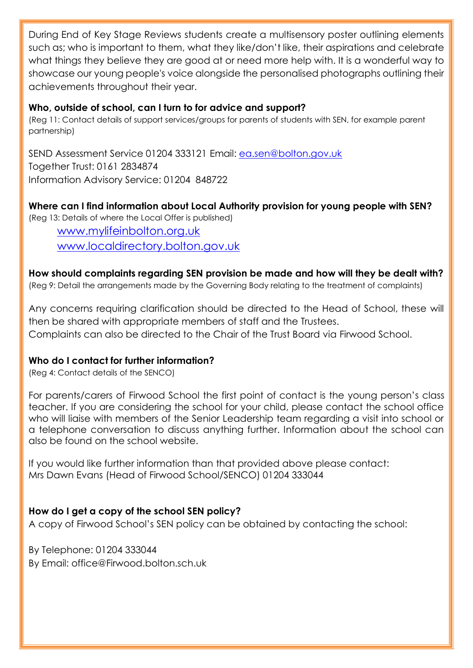During End of Key Stage Reviews students create a multisensory poster outlining elements such as; who is important to them, what they like/don't like, their aspirations and celebrate what things they believe they are good at or need more help with. It is a wonderful way to showcase our young people's voice alongside the personalised photographs outlining their achievements throughout their year.

### **Who, outside of school, can I turn to for advice and support?**

(Reg 11: Contact details of support services/groups for parents of students with SEN, for example parent partnership)

SEND Assessment Service 01204 333121 Email: [ea.sen@bolton.gov.uk](mailto:ea.sen@bolton.gov.uk) Together Trust: 0161 2834874 Information Advisory Service: 01204 848722

# **Where can I find information about Local Authority provision for young people with SEN?**

(Reg 13: Details of where the Local Offer is published)

[www.mylifeinbolton.org.uk](http://www.localdirectory.bolton.gov.uk/) [www.localdirectory.bolton.gov.uk](http://www.localdirectory.bolton.gov.uk/)

#### **How should complaints regarding SEN provision be made and how will they be dealt with?**

(Reg 9: Detail the arrangements made by the Governing Body relating to the treatment of complaints)

Any concerns requiring clarification should be directed to the Head of School, these will then be shared with appropriate members of staff and the Trustees. Complaints can also be directed to the Chair of the Trust Board via Firwood School.

#### **Who do I contact for further information?**

(Reg 4: Contact details of the SENCO)

For parents/carers of Firwood School the first point of contact is the young person's class teacher. If you are considering the school for your child, please contact the school office who will liaise with members of the Senior Leadership team regarding a visit into school or a telephone conversation to discuss anything further. Information about the school can also be found on the school website.

If you would like further information than that provided above please contact: Mrs Dawn Evans (Head of Firwood School/SENCO) 01204 333044

# **How do I get a copy of the school SEN policy?**

A copy of Firwood School's SEN policy can be obtained by contacting the school:

By Telephone: 01204 333044 By Email: office@Firwood.bolton.sch.uk